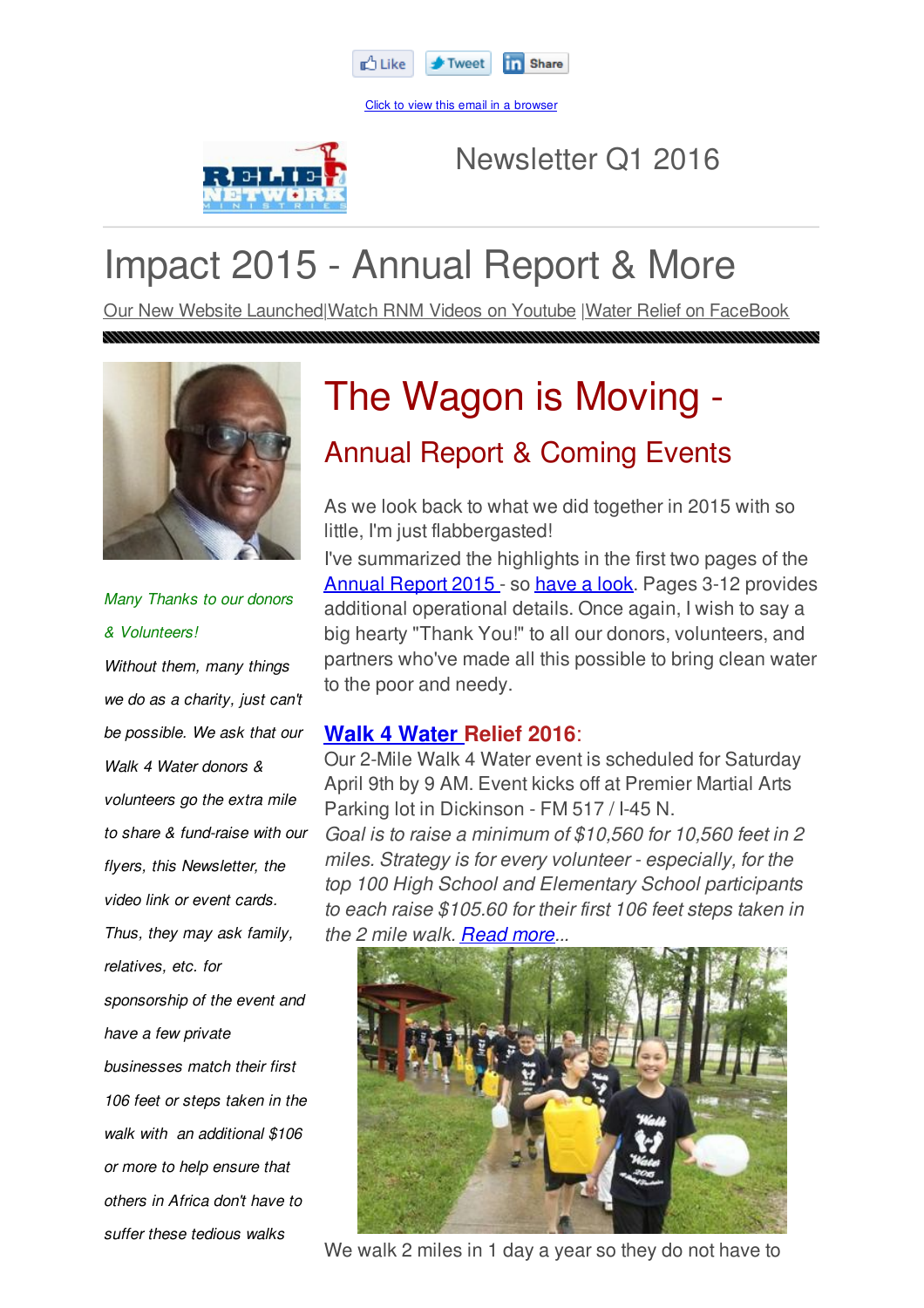

Click to view this email in a browser



Newsletter Q1 2016

# Impact 2015 - Annual Report & More

Our New Website Launched|Watch RNM Videos on Youtube |Water Relief on FaceBook



*Many Thanks to our donors & Volunteers! Without them, many things we do as a charity, just can't be possible. We ask that our Walk 4 Water donors & volunteers go the extra mile to share & fund-raise with our flyers, this Newsletter, the video link or event cards. Thus, they may ask family, relatives, etc. for sponsorship of the event and have a few private businesses match their first 106 feet or steps taken in the walk with an additional \$106 or more to help ensure that others in Africa don't have to suffer these tedious walks*

# The Wagon is Moving -

## Annual Report & Coming Events

As we look back to what we did together in 2015 with so little, I'm just flabbergasted!

I've summarized the highlights in the first two pages of the Annual Report 2015 - so have a look. Pages 3-12 provides additional operational details. Once again, I wish to say a big hearty "Thank You!" to all our donors, volunteers, and partners who've made all this possible to bring clean water to the poor and needy.

### **Walk 4 Water Relief 2016**:

Our 2-Mile Walk 4 Water event is scheduled for Saturday April 9th by 9 AM. Event kicks off at Premier Martial Arts Parking lot in Dickinson - FM 517 / I-45 N.

*Goal is to raise a minimum of \$10,560 for 10,560 feet in 2 miles. Strategy is for every volunteer - especially, for the top 100 High School and Elementary School participants to each raise \$105.60 for their first 106 feet steps taken in the 2 mile walk. Read more...*



We walk 2 miles in 1 day a year so they do not have to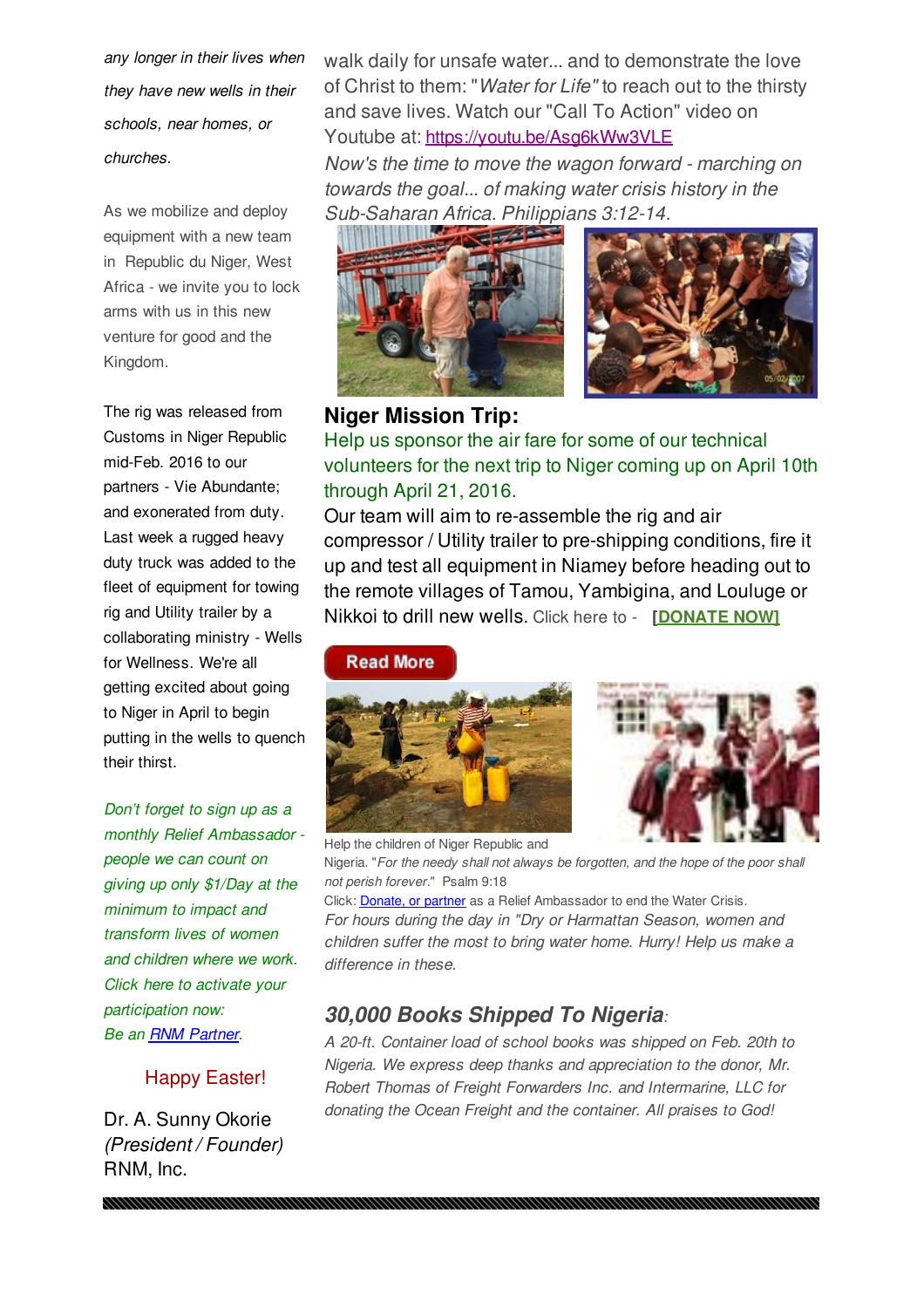*any longer in their lives when they have new wells in their schools, near homes, or churches.*

As we mobilize and deploy equipment with a new team in Republic du Niger, West Africa - we invite you to lock arms with us in this new venture for good and the Kingdom.

The rig was released from Customs in Niger Republic mid-Feb. 2016 to our partners - Vie Abundante; and exonerated from duty. Last week a rugged heavy duty truck was added to the fleet of equipment for towing rig and Utility trailer by a collaborating ministry - Wells for Wellness. We're all getting excited about going to Niger in April to begin putting in the wells to quench their thirst.

*Don't forget to sign up as a monthly Relief Ambassador people we can count on giving up only \$1/Day at the minimum to impact and transform lives of women and children where we work. Click here to activate your participation now: Be an RNM Partner.*

#### Happy Easter!

Dr. A. Sunny Okorie *(President / Founder)* RNM, Inc.

walk daily for unsafe water... and to demonstrate the love of Christ to them: "*Water for Life"* to reach out to the thirsty and save lives. Watch our "Call To Action" video on Youtube at: https://youtu.be/Asg6kWw3VLE

*Now's the time to move the wagon forward - marching on towards the goal... of making water crisis history in the Sub-Saharan Africa. Philippians 3:12-14.*





#### **Niger Mission Trip:**

Help us sponsor the air fare for some of our technical volunteers for the next trip to Niger coming up on April 10th through April 21, 2016.

Our team will aim to re-assemble the rig and air compressor / Utility trailer to pre-shipping conditions, fire it up and test all equipment in Niamey before heading out to the remote villages of Tamou, Yambigina, and Louluge or Nikkoi to drill new wells. Click here to - **[DONATE NOW]**

**Read More** 





Help the children of Niger Republic and Nigeria. "*For the needy shall not always be forgotten, and the hope of the poor shall not perish forever.*" Psalm 9:18 Click: Donate, or partner as a Relief Ambassador to end the Water Crisis. *For hours during the day in "Dry or Harmattan Season, women and children suffer the most to bring water home. Hurry! Help us make a difference in these.*

### *30,000 Books Shipped To Nigeria:*

*A 20-ft. Container load of school books was shipped on Feb. 20th to Nigeria. We express deep thanks and appreciation to the donor, Mr. Robert Thomas of Freight Forwarders Inc. and Intermarine, LLC for donating the Ocean Freight and the container. All praises to God!*